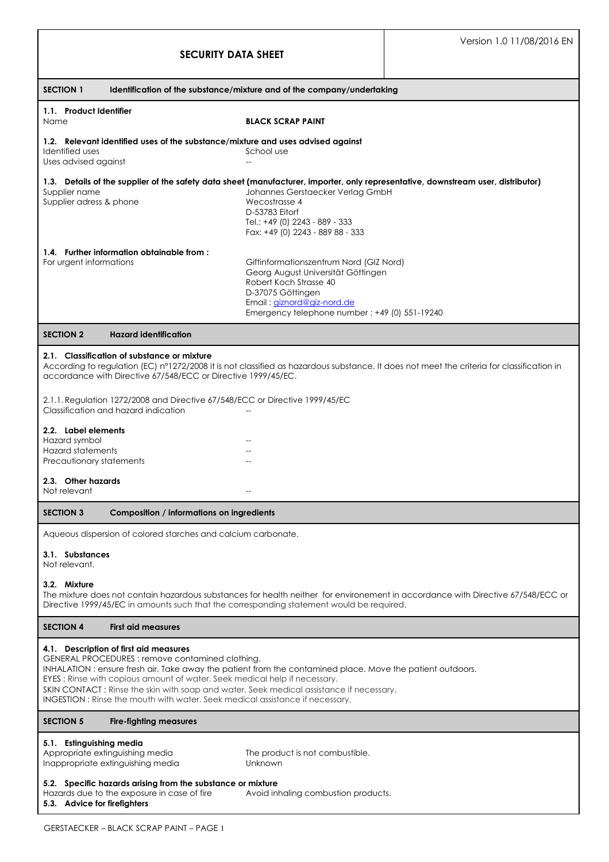| <b>SECURITY DATA SHEET</b>                                                                                                                                                                                                                                                                                                                                                                                                                                     |                                                                                                                                                                                                             | Version 1.0 11/08/2016 EN |  |
|----------------------------------------------------------------------------------------------------------------------------------------------------------------------------------------------------------------------------------------------------------------------------------------------------------------------------------------------------------------------------------------------------------------------------------------------------------------|-------------------------------------------------------------------------------------------------------------------------------------------------------------------------------------------------------------|---------------------------|--|
| <b>SECTION 1</b><br>Identification of the substance/mixture and of the company/undertaking                                                                                                                                                                                                                                                                                                                                                                     |                                                                                                                                                                                                             |                           |  |
| 1.1. Product Identifier<br>Name                                                                                                                                                                                                                                                                                                                                                                                                                                | <b>BLACK SCRAP PAINT</b>                                                                                                                                                                                    |                           |  |
| 1.2. Relevant identified uses of the substance/mixture and uses advised against<br>Identified uses<br>Uses advised against                                                                                                                                                                                                                                                                                                                                     | School use                                                                                                                                                                                                  |                           |  |
| 1.3. Details of the supplier of the safety data sheet (manufacturer, importer, only representative, downstream user, distributor)<br>Supplier name<br>Supplier adress & phone                                                                                                                                                                                                                                                                                  | Johannes Gerstaecker Verlag GmbH<br>Wecostrasse 4<br>D-53783 Eitorf<br>Tel.: +49 (0) 2243 - 889 - 333<br>Fax: +49 (0) 2243 - 889 88 - 333                                                                   |                           |  |
| 1.4. Further information obtainable from:<br>For urgent informations                                                                                                                                                                                                                                                                                                                                                                                           | Giftinformationszentrum Nord (GIZ Nord)<br>Georg August Universität Göttingen<br>Robert Koch Strasse 40<br>D-37075 Göttingen<br>Email: giznord@giz-nord.de<br>Emergency telephone number: +49 (0) 551-19240 |                           |  |
| <b>SECTION 2</b><br><b>Hazard identification</b>                                                                                                                                                                                                                                                                                                                                                                                                               |                                                                                                                                                                                                             |                           |  |
| 2.1. Classification of substance or mixture<br>According to regulation (EC) n°1272/2008 it is not classified as hazardous substance. It does not meet the criteria for classification in<br>accordance with Directive 67/548/ECC or Directive 1999/45/EC.<br>2.1.1. Regulation 1272/2008 and Directive 67/548/ECC or Directive 1999/45/EC                                                                                                                      |                                                                                                                                                                                                             |                           |  |
| Classification and hazard indication                                                                                                                                                                                                                                                                                                                                                                                                                           |                                                                                                                                                                                                             |                           |  |
| 2.2. Label elements<br>Hazard symbol<br><b>Hazard statements</b><br>Precautionary statements                                                                                                                                                                                                                                                                                                                                                                   |                                                                                                                                                                                                             |                           |  |
| 2.3. Other hazards<br>Not relevant                                                                                                                                                                                                                                                                                                                                                                                                                             |                                                                                                                                                                                                             |                           |  |
| <b>SECTION 3</b><br>Composition / informations on ingredients                                                                                                                                                                                                                                                                                                                                                                                                  |                                                                                                                                                                                                             |                           |  |
| Aqueous dispersion of colored starches and calcium carbonate.                                                                                                                                                                                                                                                                                                                                                                                                  |                                                                                                                                                                                                             |                           |  |
| 3.1. Substances<br>Not relevant.                                                                                                                                                                                                                                                                                                                                                                                                                               |                                                                                                                                                                                                             |                           |  |
| 3.2. Mixture<br>The mixture does not contain hazardous substances for health neither for environement in accordance with Directive 67/548/ECC or<br>Directive 1999/45/EC in amounts such that the corresponding statement would be required.                                                                                                                                                                                                                   |                                                                                                                                                                                                             |                           |  |
| <b>SECTION 4</b><br><b>First aid measures</b>                                                                                                                                                                                                                                                                                                                                                                                                                  |                                                                                                                                                                                                             |                           |  |
| 4.1. Description of first aid measures<br>GENERAL PROCEDURES: remove contamined clothing.<br>INHALATION: ensure fresh air. Take away the patient from the contamined place. Move the patient outdoors.<br>EYES: Rinse with copious amount of water. Seek medical help if necessary.<br>SKIN CONTACT: Rinse the skin with soap and water. Seek medical assistance if necessary.<br>INGESTION: Rinse the mouth with water. Seek medical assistance if necessary. |                                                                                                                                                                                                             |                           |  |
| <b>SECTION 5</b><br><b>Fire-fighting measures</b>                                                                                                                                                                                                                                                                                                                                                                                                              |                                                                                                                                                                                                             |                           |  |
| 5.1. Estinguishing media<br>Appropriate extinguishing media<br>Inappropriate extinguishing media                                                                                                                                                                                                                                                                                                                                                               | The product is not combustible.<br>Unknown                                                                                                                                                                  |                           |  |
| 5.2. Specific hazards arising from the substance or mixture<br>Hazards due to the exposure in case of fire<br>Avoid inhaling combustion products.<br>5.3. Advice for firefighters                                                                                                                                                                                                                                                                              |                                                                                                                                                                                                             |                           |  |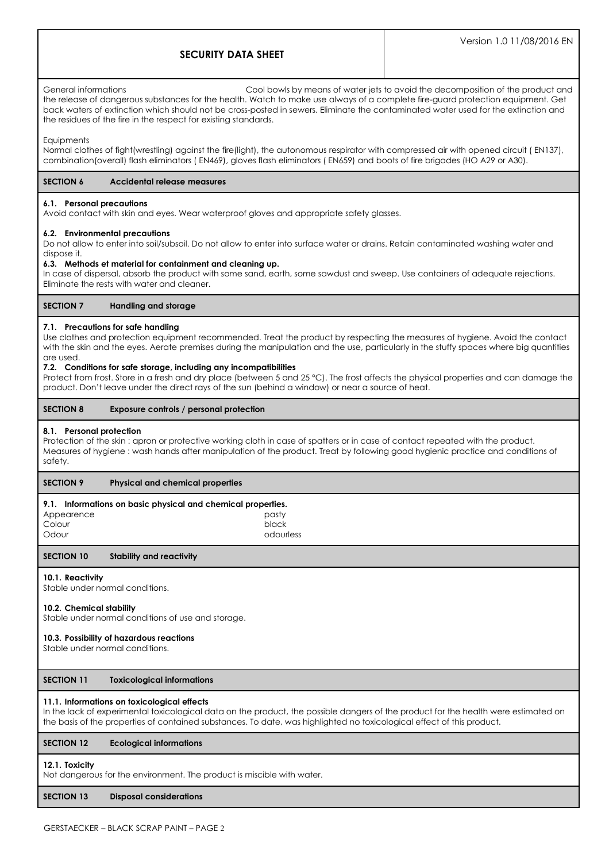# **SECURITY DATA SHEET**

General informations Cool bowls by means of water jets to avoid the decomposition of the product and the release of dangerous substances for the health. Watch to make use always of a complete fire-guard protection equipment. Get back waters of extinction which should not be cross-posted in sewers. Eliminate the contaminated water used for the extinction and the residues of the fire in the respect for existing standards.

#### **Equipments**

Normal clothes of fight(wrestling) against the fire(light), the autonomous respirator with compressed air with opened circuit ( EN137), combination(overall) flash eliminators ( EN469), gloves flash eliminators ( EN659) and boots of fire brigades (HO A29 or A30).

## **SECTION 6 Accidental release measures**

#### **6.1. Personal precautions**

Avoid contact with skin and eyes. Wear waterproof gloves and appropriate safety glasses.

#### **6.2. Environmental precautions**

Do not allow to enter into soil/subsoil. Do not allow to enter into surface water or drains. Retain contaminated washing water and dispose it.

## **6.3. Methods et material for containment and cleaning up.**

In case of dispersal, absorb the product with some sand, earth, some sawdust and sweep. Use containers of adequate rejections. Eliminate the rests with water and cleaner.

## **SECTION 7 Handling and storage**

## **7.1. Precautions for safe handling**

Use clothes and protection equipment recommended. Treat the product by respecting the measures of hygiene. Avoid the contact with the skin and the eyes. Aerate premises during the manipulation and the use, particularly in the stuffy spaces where big quantities are used.

#### **7.2. Conditions for safe storage, including any incompatibilities**

Protect from frost. Store in a fresh and dry place (between 5 and 25 °C). The frost affects the physical properties and can damage the product. Don't leave under the direct rays of the sun (behind a window) or near a source of heat.

## **SECTION 8 Exposure controls / personal protection**

#### **8.1. Personal protection**

Protection of the skin : apron or protective working cloth in case of spatters or in case of contact repeated with the product. Measures of hygiene : wash hands after manipulation of the product. Treat by following good hygienic practice and conditions of safety.

## **SECTION 9 Physical and chemical properties**

#### **9.1. Informations on basic physical and chemical properties.**

|            | . . |           |
|------------|-----|-----------|
| Appearence |     | pasty     |
| Colour     |     | black     |
| Odour      |     | odourless |
|            |     |           |

#### **SECTION 10 Stability and reactivity**

## **10.1. Reactivity**

Stable under normal conditions.

## **10.2. Chemical stability**

Stable under normal conditions of use and storage.

## **10.3. Possibility of hazardous reactions**

Stable under normal conditions.

## **SECTION 11 Toxicological informations**

## **11.1. Informations on toxicological effects**

In the lack of experimental toxicological data on the product, the possible dangers of the product for the health were estimated on the basis of the properties of contained substances. To date, was highlighted no toxicological effect of this product.

## **SECTION 12 Ecological informations**

#### **12.1. Toxicity**

Not dangerous for the environment. The product is miscible with water.

## **SECTION 13 Disposal considerations**